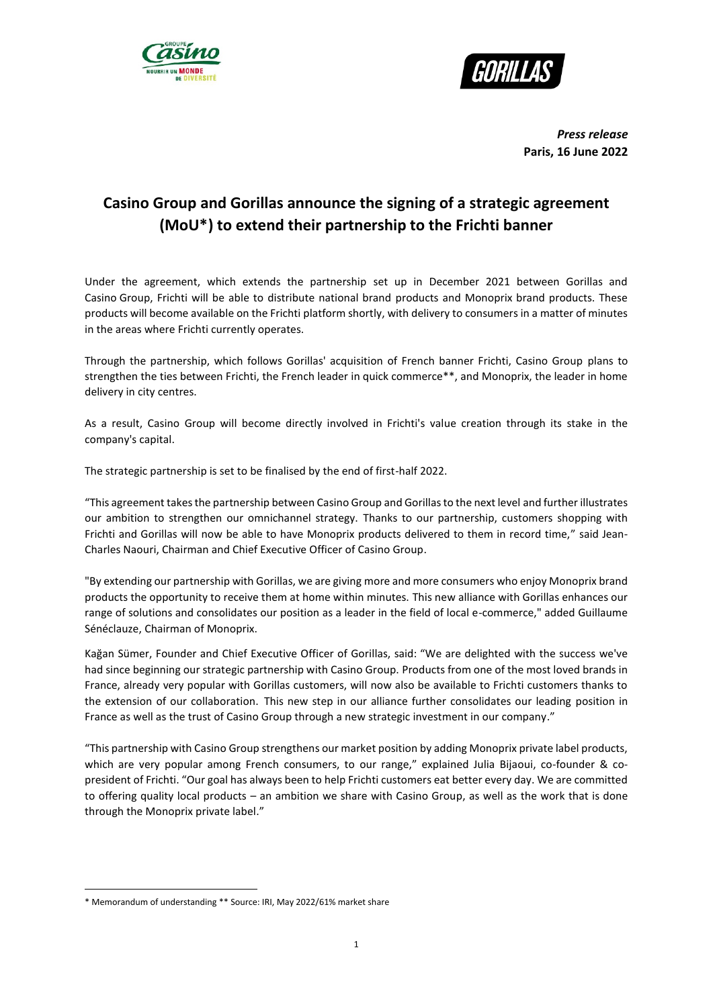



*Press release* **Paris, 16 June 2022**

# **Casino Group and Gorillas announce the signing of a strategic agreement (MoU\*1) to extend their partnership to the Frichti banner**

Under the agreement, which extends the partnership set up in December 2021 between Gorillas and Casino Group, Frichti will be able to distribute national brand products and Monoprix brand products. These products will become available on the Frichti platform shortly, with delivery to consumers in a matter of minutes in the areas where Frichti currently operates.

Through the partnership, which follows Gorillas' acquisition of French banner Frichti, Casino Group plans to strengthen the ties between Frichti, the French leader in quick commerce\*\*, and Monoprix, the leader in home delivery in city centres.

As a result, Casino Group will become directly involved in Frichti's value creation through its stake in the company's capital.

The strategic partnership is set to be finalised by the end of first-half 2022.

"This agreement takes the partnership between Casino Group and Gorillas to the next level and further illustrates our ambition to strengthen our omnichannel strategy. Thanks to our partnership, customers shopping with Frichti and Gorillas will now be able to have Monoprix products delivered to them in record time," said Jean-Charles Naouri, Chairman and Chief Executive Officer of Casino Group.

"By extending our partnership with Gorillas, we are giving more and more consumers who enjoy Monoprix brand products the opportunity to receive them at home within minutes. This new alliance with Gorillas enhances our range of solutions and consolidates our position as a leader in the field of local e-commerce," added Guillaume Sénéclauze, Chairman of Monoprix.

Kağan Sümer, Founder and Chief Executive Officer of Gorillas, said: "We are delighted with the success we've had since beginning our strategic partnership with Casino Group. Products from one of the most loved brands in France, already very popular with Gorillas customers, will now also be available to Frichti customers thanks to the extension of our collaboration. This new step in our alliance further consolidates our leading position in France as well as the trust of Casino Group through a new strategic investment in our company."

"This partnership with Casino Group strengthens our market position by adding Monoprix private label products, which are very popular among French consumers, to our range," explained Julia Bijaoui, co-founder & copresident of Frichti. "Our goal has always been to help Frichti customers eat better every day. We are committed to offering quality local products – an ambition we share with Casino Group, as well as the work that is done through the Monoprix private label."

1

<sup>\*</sup> Memorandum of understanding \*\* Source: IRI, May 2022/61% market share